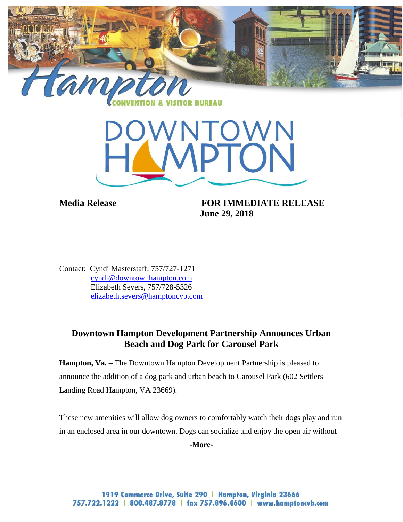

**BUREAU** 



**Media Release FOR IMMEDIATE RELEASE June 29, 2018**

Contact: Cyndi Masterstaff, 757/727-1271 [cyndi@downtownhampton.com](mailto:cyndi@downtownhampton.com) Elizabeth Severs, 757/728-5326 [elizabeth.severs@hamptoncvb.com](mailto:elizabeth.severs@hamptoncvb.com)

## **Downtown Hampton Development Partnership Announces Urban Beach and Dog Park for Carousel Park**

**Hampton, Va.** – The Downtown Hampton Development Partnership is pleased to announce the addition of a dog park and urban beach to Carousel Park (602 Settlers Landing Road Hampton, VA 23669).

These new amenities will allow dog owners to comfortably watch their dogs play and run in an enclosed area in our downtown. Dogs can socialize and enjoy the open air without

**-More-**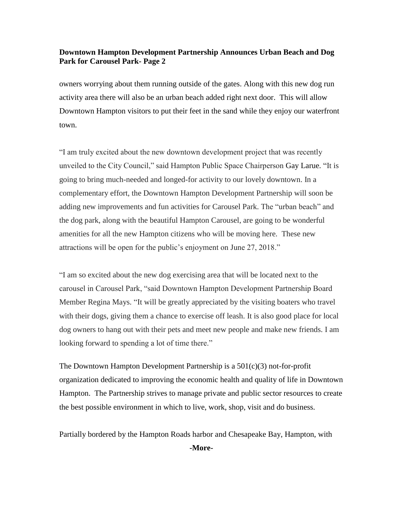## **Downtown Hampton Development Partnership Announces Urban Beach and Dog Park for Carousel Park- Page 2**

owners worrying about them running outside of the gates. Along with this new dog run activity area there will also be an urban beach added right next door. This will allow Downtown Hampton visitors to put their feet in the sand while they enjoy our waterfront town.

"I am truly excited about the new downtown development project that was recently unveiled to the City Council," said Hampton Public Space Chairperson Gay Larue. "It is going to bring much-needed and longed-for activity to our lovely downtown. In a complementary effort, the Downtown Hampton Development Partnership will soon be adding new improvements and fun activities for Carousel Park. The "urban beach" and the dog park, along with the beautiful Hampton Carousel, are going to be wonderful amenities for all the new Hampton citizens who will be moving here. These new attractions will be open for the public's enjoyment on June 27, 2018."

"I am so excited about the new dog exercising area that will be located next to the carousel in Carousel Park, "said Downtown Hampton Development Partnership Board Member Regina Mays. "It will be greatly appreciated by the visiting boaters who travel with their dogs, giving them a chance to exercise off leash. It is also good place for local dog owners to hang out with their pets and meet new people and make new friends. I am looking forward to spending a lot of time there."

The Downtown Hampton Development Partnership is a  $501(c)(3)$  not-for-profit organization dedicated to improving the economic health and quality of life in Downtown Hampton. The Partnership strives to manage private and public sector resources to create the best possible environment in which to live, work, shop, visit and do business.

Partially bordered by the Hampton Roads harbor and Chesapeake Bay, Hampton, with

**-More-**